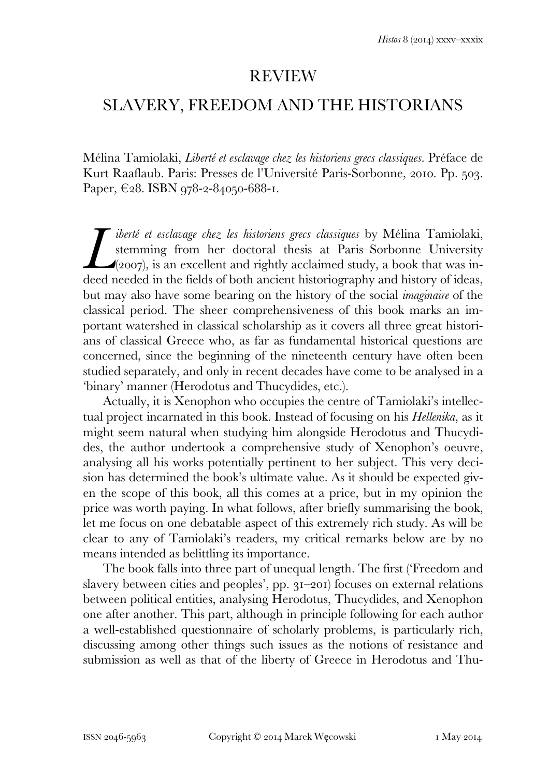## **REVIEW**

## SLAVERY, FREEDOM AND THE HISTORIANS

Mélina Tamiolaki, *Liberté et esclavage chez les historiens grecs classiques*. Préface de Kurt Raaflaub. Paris: Presses de l'Université Paris-Sorbonne, 2010. Pp. 503. Paper,  $\epsilon_{28}$ . ISBN 978-2-84050-688-1.

*iberté et esclavage chez les historiens grecs classiques* by Mélina Tamiolaki, stemming from her doctoral thesis at Paris–Sorbonne University  $\triangle$ (2007), is an excellent and rightly acclaimed study, a book that was in*deed in the fields of both ancient historiang and history of ideas, lead needed in the fields of both ancient historiography and history of ideas,* but may also have some bearing on the history of the social *imaginaire* of the classical period. The sheer comprehensiveness of this book marks an important watershed in classical scholarship as it covers all three great historians of classical Greece who, as far as fundamental historical questions are concerned, since the beginning of the nineteenth century have often been studied separately, and only in recent decades have come to be analysed in a 'binary' manner (Herodotus and Thucydides, etc.).

 Actually, it is Xenophon who occupies the centre of Tamiolaki's intellectual project incarnated in this book. Instead of focusing on his *Hellenika*, as it might seem natural when studying him alongside Herodotus and Thucydides, the author undertook a comprehensive study of Xenophon's oeuvre, analysing all his works potentially pertinent to her subject. This very decision has determined the book's ultimate value. As it should be expected given the scope of this book, all this comes at a price, but in my opinion the price was worth paying. In what follows, after briefly summarising the book, let me focus on one debatable aspect of this extremely rich study. As will be clear to any of Tamiolaki's readers, my critical remarks below are by no means intended as belittling its importance.

 The book falls into three part of unequal length. The first ('Freedom and slavery between cities and peoples',  $pp. 3I-20I$  focuses on external relations between political entities, analysing Herodotus, Thucydides, and Xenophon one after another. This part, although in principle following for each author a well-established questionnaire of scholarly problems, is particularly rich, discussing among other things such issues as the notions of resistance and submission as well as that of the liberty of Greece in Herodotus and Thu-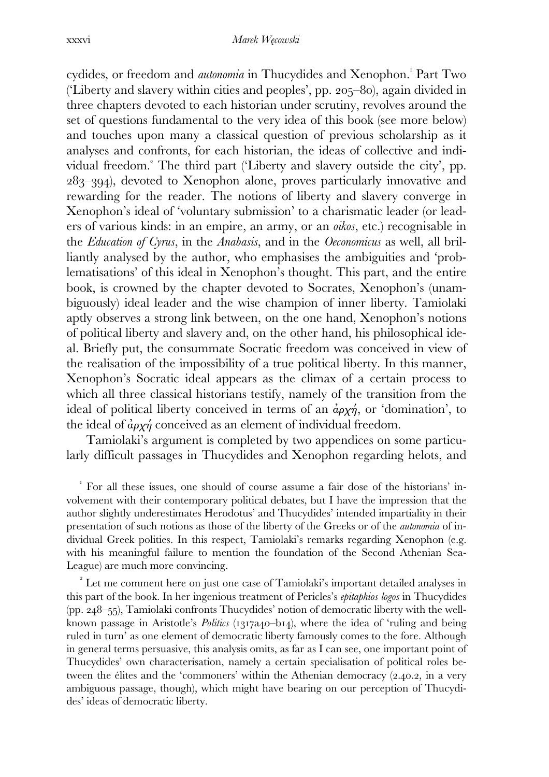cydides, or freedom and *autonomia* in Thucydides and Xenophon.<sup>'</sup> Part Two ('Liberty and slavery within cities and peoples', pp.  $205-80$ ), again divided in three chapters devoted to each historian under scrutiny, revolves around the set of questions fundamental to the very idea of this book (see more below) and touches upon many a classical question of previous scholarship as it analyses and confronts, for each historian, the ideas of collective and individual freedom. The third part ('Liberty and slavery outside the city', pp. –), devoted to Xenophon alone, proves particularly innovative and rewarding for the reader. The notions of liberty and slavery converge in Xenophon's ideal of 'voluntary submission' to a charismatic leader (or leaders of various kinds: in an empire, an army, or an *oikos*, etc.) recognisable in the *Education of Cyrus*, in the *Anabasis*, and in the *Oeconomicus* as well, all brilliantly analysed by the author, who emphasises the ambiguities and 'problematisations' of this ideal in Xenophon's thought. This part, and the entire book, is crowned by the chapter devoted to Socrates, Xenophon's (unambiguously) ideal leader and the wise champion of inner liberty. Tamiolaki aptly observes a strong link between, on the one hand, Xenophon's notions of political liberty and slavery and, on the other hand, his philosophical ideal. Briefly put, the consummate Socratic freedom was conceived in view of the realisation of the impossibility of a true political liberty. In this manner, Xenophon's Socratic ideal appears as the climax of a certain process to which all three classical historians testify, namely of the transition from the ideal of political liberty conceived in terms of an  $\phi_{\alpha}$ , or 'domination', to the ideal of  $\dot{a}\rho\chi\dot{\eta}$  conceived as an element of individual freedom.

 Tamiolaki's argument is completed by two appendices on some particularly difficult passages in Thucydides and Xenophon regarding helots, and

 For all these issues, one should of course assume a fair dose of the historians' involvement with their contemporary political debates, but I have the impression that the author slightly underestimates Herodotus' and Thucydides' intended impartiality in their presentation of such notions as those of the liberty of the Greeks or of the *autonomia* of individual Greek polities. In this respect, Tamiolaki's remarks regarding Xenophon (e.g. with his meaningful failure to mention the foundation of the Second Athenian Sea-League) are much more convincing.

 $\alpha$ <sup>2</sup> Let me comment here on just one case of Tamiolaki's important detailed analyses in this part of the book. In her ingenious treatment of Pericles's *epitaphios logos* in Thucydides (pp.  $248-55$ ), Tamiolaki confronts Thucydides' notion of democratic liberty with the wellknown passage in Aristotle's *Politics* (1317a40-b14), where the idea of 'ruling and being ruled in turn' as one element of democratic liberty famously comes to the fore. Although in general terms persuasive, this analysis omits, as far as I can see, one important point of Thucydides' own characterisation, namely a certain specialisation of political roles between the élites and the 'commoners' within the Athenian democracy  $(2.40.2, \text{in a very})$ ambiguous passage, though), which might have bearing on our perception of Thucydides' ideas of democratic liberty.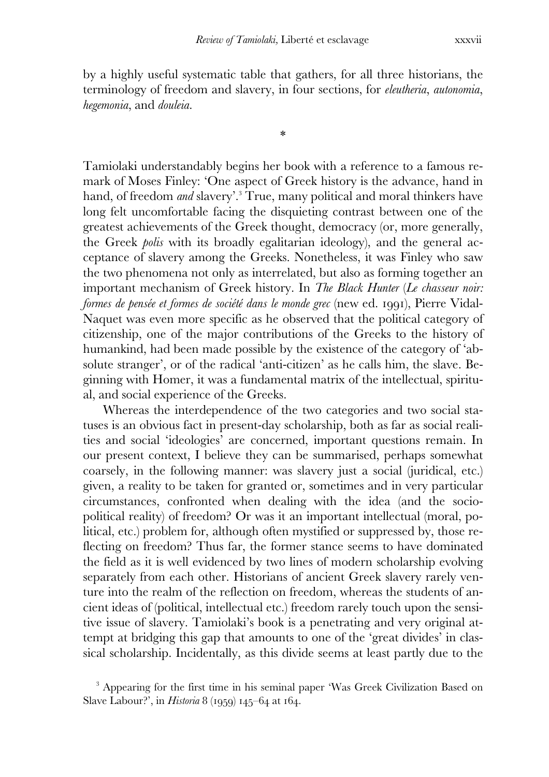by a highly useful systematic table that gathers, for all three historians, the terminology of freedom and slavery, in four sections, for *eleutheria*, *autonomia*, *hegemonia*, and *douleia*.

\*

Tamiolaki understandably begins her book with a reference to a famous remark of Moses Finley: 'One aspect of Greek history is the advance, hand in hand, of freedom *and* slavery'.<sup>3</sup> True, many political and moral thinkers have long felt uncomfortable facing the disquieting contrast between one of the greatest achievements of the Greek thought, democracy (or, more generally, the Greek *polis* with its broadly egalitarian ideology), and the general acceptance of slavery among the Greeks. Nonetheless, it was Finley who saw the two phenomena not only as interrelated, but also as forming together an important mechanism of Greek history. In *The Black Hunter* (*Le chasseur noir: formes de pensée et formes de société dans le monde grec* (new ed. 1991), Pierre Vidal-Naquet was even more specific as he observed that the political category of citizenship, one of the major contributions of the Greeks to the history of humankind, had been made possible by the existence of the category of 'absolute stranger', or of the radical 'anti-citizen' as he calls him, the slave. Beginning with Homer, it was a fundamental matrix of the intellectual, spiritual, and social experience of the Greeks.

 Whereas the interdependence of the two categories and two social statuses is an obvious fact in present-day scholarship, both as far as social realities and social 'ideologies' are concerned, important questions remain. In our present context, I believe they can be summarised, perhaps somewhat coarsely, in the following manner: was slavery just a social (juridical, etc.) given, a reality to be taken for granted or, sometimes and in very particular circumstances, confronted when dealing with the idea (and the sociopolitical reality) of freedom? Or was it an important intellectual (moral, political, etc.) problem for, although often mystified or suppressed by, those reflecting on freedom? Thus far, the former stance seems to have dominated the field as it is well evidenced by two lines of modern scholarship evolving separately from each other. Historians of ancient Greek slavery rarely venture into the realm of the reflection on freedom, whereas the students of ancient ideas of (political, intellectual etc.) freedom rarely touch upon the sensitive issue of slavery. Tamiolaki's book is a penetrating and very original attempt at bridging this gap that amounts to one of the 'great divides' in classical scholarship. Incidentally, as this divide seems at least partly due to the

<sup>&</sup>lt;sup>3</sup> Appearing for the first time in his seminal paper 'Was Greek Civilization Based on Slave Labour?', in *Historia* 8 (1959) 145–64 at 164.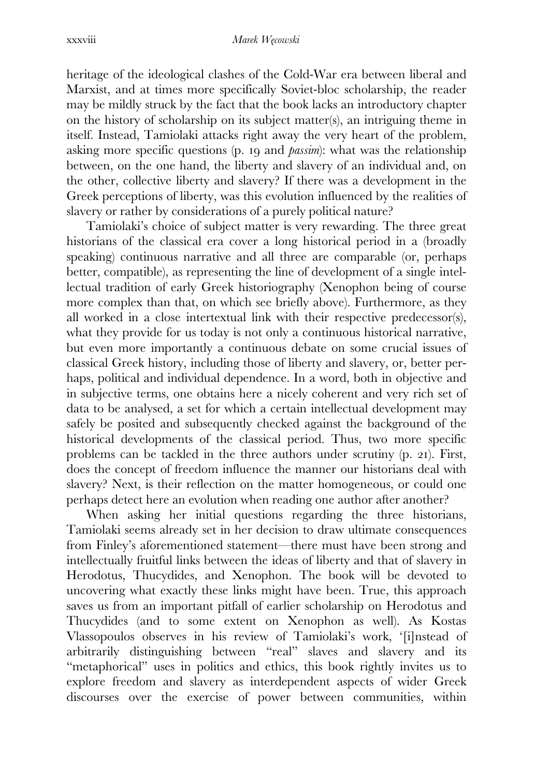heritage of the ideological clashes of the Cold-War era between liberal and Marxist, and at times more specifically Soviet-bloc scholarship, the reader may be mildly struck by the fact that the book lacks an introductory chapter on the history of scholarship on its subject matter(s), an intriguing theme in itself. Instead, Tamiolaki attacks right away the very heart of the problem, asking more specific questions (p. 19 and *passim*): what was the relationship between, on the one hand, the liberty and slavery of an individual and, on the other, collective liberty and slavery? If there was a development in the Greek perceptions of liberty, was this evolution influenced by the realities of slavery or rather by considerations of a purely political nature?

 Tamiolaki's choice of subject matter is very rewarding. The three great historians of the classical era cover a long historical period in a (broadly speaking) continuous narrative and all three are comparable (or, perhaps better, compatible), as representing the line of development of a single intellectual tradition of early Greek historiography (Xenophon being of course more complex than that, on which see briefly above). Furthermore, as they all worked in a close intertextual link with their respective predecessor(s), what they provide for us today is not only a continuous historical narrative, but even more importantly a continuous debate on some crucial issues of classical Greek history, including those of liberty and slavery, or, better perhaps, political and individual dependence. In a word, both in objective and in subjective terms, one obtains here a nicely coherent and very rich set of data to be analysed, a set for which a certain intellectual development may safely be posited and subsequently checked against the background of the historical developments of the classical period. Thus, two more specific problems can be tackled in the three authors under scrutiny  $(p, 21)$ . First, does the concept of freedom influence the manner our historians deal with slavery? Next, is their reflection on the matter homogeneous, or could one perhaps detect here an evolution when reading one author after another?

 When asking her initial questions regarding the three historians, Tamiolaki seems already set in her decision to draw ultimate consequences from Finley's aforementioned statement—there must have been strong and intellectually fruitful links between the ideas of liberty and that of slavery in Herodotus, Thucydides, and Xenophon. The book will be devoted to uncovering what exactly these links might have been. True, this approach saves us from an important pitfall of earlier scholarship on Herodotus and Thucydides (and to some extent on Xenophon as well). As Kostas Vlassopoulos observes in his review of Tamiolaki's work, '[i]nstead of arbitrarily distinguishing between "real" slaves and slavery and its "metaphorical" uses in politics and ethics, this book rightly invites us to explore freedom and slavery as interdependent aspects of wider Greek discourses over the exercise of power between communities, within